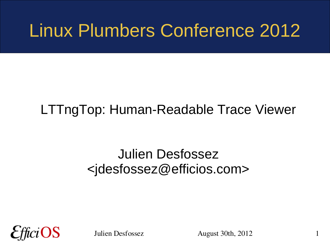### Linux Plumbers Conference 2012

#### LTTngTop: Human-Readable Trace Viewer

#### Julien Desfossez <jdesfossez@efficios.com>



Julien Desfossez August 30th, 2012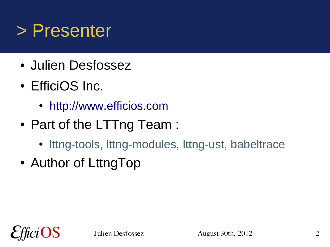#### > Presenter

- Julien Desfossez
- EfficiOS Inc.
	- [http://www.efficios.com](http://www.efficios.com/)
- Part of the LTTng Team :
	- Ittng-tools, Ittng-modules, Ittng-ust, babeltrace
- Author of LttngTop

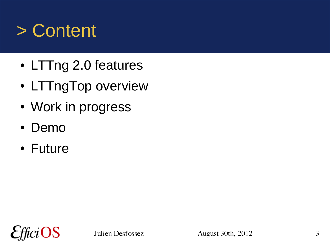### > Content

- LTTng 2.0 features
- LTTngTop overview
- Work in progress
- Demo
- Future

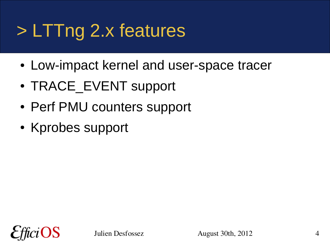## > LTTng 2.x features

- Low-impact kernel and user-space tracer
- TRACE EVENT support
- Perf PMU counters support
- Kprobes support

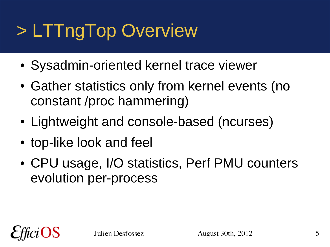## > LTTngTop Overview

- Sysadmin-oriented kernel trace viewer
- Gather statistics only from kernel events (no constant /proc hammering)
- Lightweight and console-based (ncurses)
- top-like look and feel
- CPU usage, I/O statistics, Perf PMU counters evolution per-process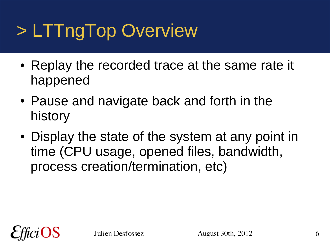## > LTTngTop Overview

- Replay the recorded trace at the same rate it happened
- Pause and navigate back and forth in the history
- Display the state of the system at any point in time (CPU usage, opened files, bandwidth, process creation/termination, etc)

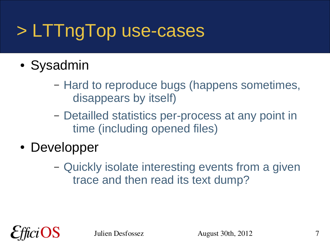## > LTTngTop use-cases

- Sysadmin
	- Hard to reproduce bugs (happens sometimes, disappears by itself)
	- Detailled statistics per-process at any point in time (including opened files)
- Developper
	- Quickly isolate interesting events from a given trace and then read its text dump?

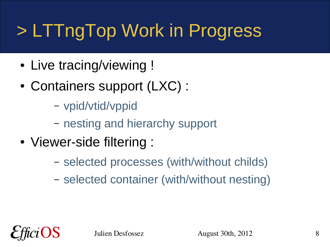# > LTTngTop Work in Progress

- Live tracing/viewing !
- Containers support (LXC) :
	- vpid/vtid/vppid
	- nesting and hierarchy support
- Viewer-side filtering :
	- selected processes (with/without childs)
	- selected container (with/without nesting)

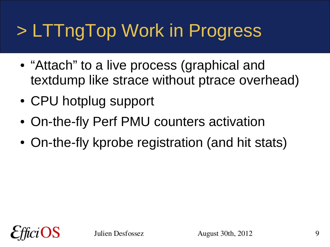# > LTTngTop Work in Progress

- "Attach" to a live process (graphical and textdump like strace without ptrace overhead)
- CPU hotplug support
- On-the-fly Perf PMU counters activation
- On-the-fly kprobe registration (and hit stats)

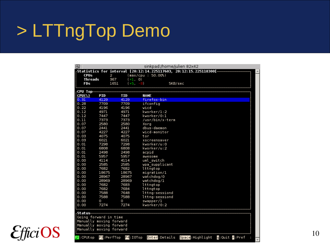### > LTTngTop Demo

| 田                                                                                                                 |               |                                        | sinkpad:/home/julien 82x42                                                               |                               |                               |  |
|-------------------------------------------------------------------------------------------------------------------|---------------|----------------------------------------|------------------------------------------------------------------------------------------|-------------------------------|-------------------------------|--|
| <b>CPUs</b>                                                                                                       | 2             |                                        | [Statistics for interval [20:12:14.225117603, 20:12:15.225118300]-<br>(max/cpu : 50.00%) |                               |                               |  |
| <b>Threads</b>                                                                                                    | 367           | $(+1, 0)$                              |                                                                                          |                               |                               |  |
| FDs                                                                                                               |               | 1651<br>$(+5, -8)$                     | SKB/sec                                                                                  |                               |                               |  |
| <sub>r</sub> CPU Top−                                                                                             |               |                                        |                                                                                          |                               |                               |  |
| CPU                                                                                                               | PID           | <b>TID</b>                             | NAME                                                                                     |                               |                               |  |
| 0.31                                                                                                              | 4129          | 4129                                   | firefox-bin                                                                              |                               |                               |  |
| 0.28                                                                                                              | 7709          | 7709                                   | ifconfig                                                                                 |                               |                               |  |
| 0.22                                                                                                              | 4196          | 4196                                   | wicd                                                                                     |                               |                               |  |
| 0.12                                                                                                              | 4971          | 4971                                   | kworker/1:2                                                                              |                               |                               |  |
| 0.12                                                                                                              | 7447          | 7447                                   | kworker/0:1                                                                              |                               |                               |  |
| 0.11                                                                                                              | 7373          | 7373                                   | /usr/bin/x-term                                                                          |                               |                               |  |
| 0.07                                                                                                              | 2580          | 2580                                   | Xorq                                                                                     |                               |                               |  |
| 0.07                                                                                                              | 2441          | 2441                                   | dbus-daemon                                                                              |                               |                               |  |
| 0.07                                                                                                              | 4227          | 4227                                   | wicd-monitor                                                                             |                               |                               |  |
| 0.03                                                                                                              | 4075          | 4075                                   | tor                                                                                      |                               |                               |  |
| 0.03                                                                                                              | 6021          | 6021                                   | xscreensaver                                                                             |                               |                               |  |
| 0.01                                                                                                              | 7298          | 7298                                   | kworker/u:0                                                                              |                               |                               |  |
| 0.01                                                                                                              | 6808          | 6808                                   | kworker/u:2                                                                              |                               |                               |  |
| 0.01                                                                                                              | 2498          | 2498                                   | acpid                                                                                    |                               |                               |  |
| 0.01                                                                                                              | 5957          | 5957                                   | awesome                                                                                  |                               |                               |  |
| 0.00                                                                                                              | 4114          | 4114                                   | uml switch                                                                               |                               |                               |  |
| 0.00                                                                                                              | 2585          | 2585                                   | wpa supplicant                                                                           |                               |                               |  |
| 0.00                                                                                                              | 7682          | 7682                                   | lttngtop                                                                                 |                               |                               |  |
| 0.00                                                                                                              | 18675         | 18675                                  | migration/1                                                                              |                               |                               |  |
| 0.00                                                                                                              | 28967         | 28967                                  | watchdog/0                                                                               |                               |                               |  |
| 0.00                                                                                                              | 28969         | 28969                                  | wat chdog/1                                                                              |                               |                               |  |
| 0.00                                                                                                              | 7682          | 7683                                   | lttngtop                                                                                 |                               |                               |  |
| 0.00                                                                                                              | 7682          | 7684                                   | lttngtop                                                                                 |                               |                               |  |
| 0.00                                                                                                              | 7588          | 7648                                   | lttng-sessiond                                                                           |                               |                               |  |
| 0.00                                                                                                              | 7588          | 7588                                   | lttng-sessiond                                                                           |                               |                               |  |
| 0.00                                                                                                              | 0             | O                                      | swapper/l                                                                                |                               |                               |  |
| 0.00                                                                                                              | 7274          | 7274                                   | kworker/0:2                                                                              |                               |                               |  |
| ⊦Status<br>Going forward in time<br>Manually moving forward<br>Manually moving forward<br>Manually moving forward |               |                                        |                                                                                          |                               |                               |  |
| F2: CPUt op                                                                                                       | $E3$ :PerfTop | $\mathsf{F4}\mathsf{:}~\mathsf{I0Top}$ |                                                                                          | Enter:Details Space:Highlight | <b>g</b> :Quit <b>r</b> :Pref |  |

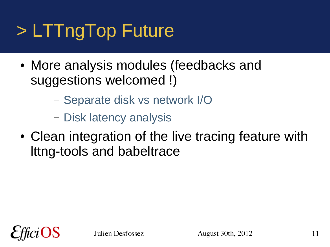# > LTTngTop Future

- More analysis modules (feedbacks and suggestions welcomed !)
	- Separate disk vs network I/O
	- Disk latency analysis
- Clean integration of the live tracing feature with lttng-tools and babeltrace

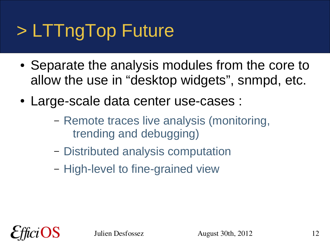# > LTTngTop Future

- Separate the analysis modules from the core to allow the use in "desktop widgets", snmpd, etc.
- Large-scale data center use-cases :
	- Remote traces live analysis (monitoring, trending and debugging)
	- Distributed analysis computation
	- High-level to fine-grained view